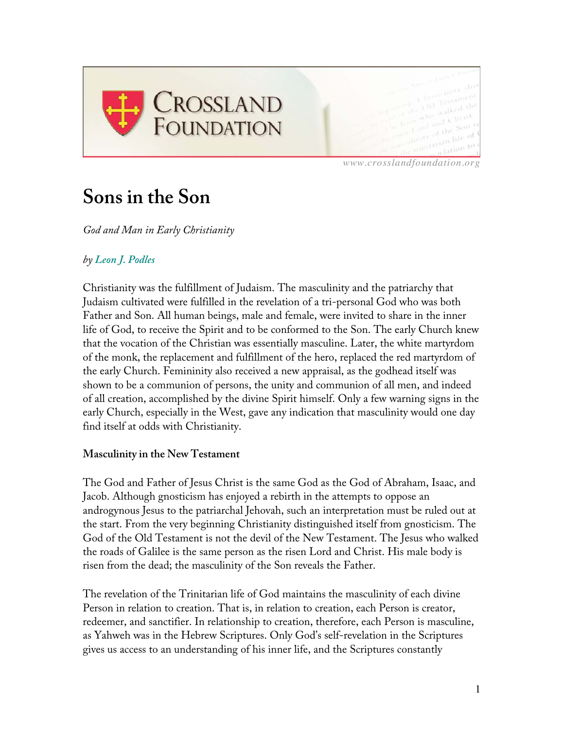

*www.crosslandfoundation.org*

# **Sons in the Son**

*God and Man in Early Christianity*

# *by Leon J. Podles*

Christianity was the fulfillment of Judaism. The masculinity and the patriarchy that Judaism cultivated were fulfilled in the revelation of a tri-personal God who was both Father and Son. All human beings, male and female, were invited to share in the inner life of God, to receive the Spirit and to be conformed to the Son. The early Church knew that the vocation of the Christian was essentially masculine. Later, the white martyrdom of the monk, the replacement and fulfillment of the hero, replaced the red martyrdom of the early Church. Femininity also received a new appraisal, as the godhead itself was shown to be a communion of persons, the unity and communion of all men, and indeed of all creation, accomplished by the divine Spirit himself. Only a few warning signs in the early Church, especially in the West, gave any indication that masculinity would one day find itself at odds with Christianity.

#### **Masculinity in the New Testament**

The God and Father of Jesus Christ is the same God as the God of Abraham, Isaac, and Jacob. Although gnosticism has enjoyed a rebirth in the attempts to oppose an androgynous Jesus to the patriarchal Jehovah, such an interpretation must be ruled out at the start. From the very beginning Christianity distinguished itself from gnosticism. The God of the Old Testament is not the devil of the New Testament. The Jesus who walked the roads of Galilee is the same person as the risen Lord and Christ. His male body is risen from the dead; the masculinity of the Son reveals the Father.

The revelation of the Trinitarian life of God maintains the masculinity of each divine Person in relation to creation. That is, in relation to creation, each Person is creator, redeemer, and sanctifier. In relationship to creation, therefore, each Person is masculine, as Yahweh was in the Hebrew Scriptures. Only God's self-revelation in the Scriptures gives us access to an understanding of his inner life, and the Scriptures constantly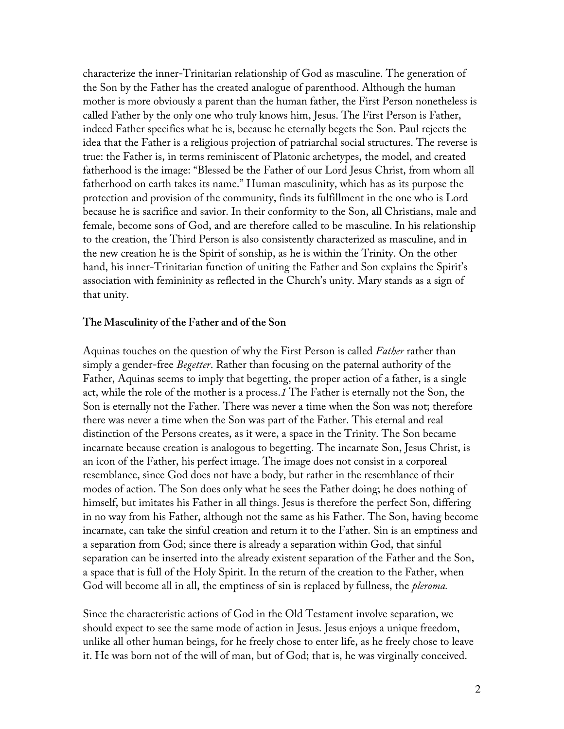characterize the inner-Trinitarian relationship of God as masculine. The generation of the Son by the Father has the created analogue of parenthood. Although the human mother is more obviously a parent than the human father, the First Person nonetheless is called Father by the only one who truly knows him, Jesus. The First Person is Father, indeed Father specifies what he is, because he eternally begets the Son. Paul rejects the idea that the Father is a religious projection of patriarchal social structures. The reverse is true: the Father is, in terms reminiscent of Platonic archetypes, the model, and created fatherhood is the image: "Blessed be the Father of our Lord Jesus Christ, from whom all fatherhood on earth takes its name." Human masculinity, which has as its purpose the protection and provision of the community, finds its fulfillment in the one who is Lord because he is sacrifice and savior. In their conformity to the Son, all Christians, male and female, become sons of God, and are therefore called to be masculine. In his relationship to the creation, the Third Person is also consistently characterized as masculine, and in the new creation he is the Spirit of sonship, as he is within the Trinity. On the other hand, his inner-Trinitarian function of uniting the Father and Son explains the Spirit's association with femininity as reflected in the Church's unity. Mary stands as a sign of that unity.

#### **The Masculinity of the Father and of the Son**

Aquinas touches on the question of why the First Person is called *Father* rather than simply a gender-free *Begetter*. Rather than focusing on the paternal authority of the Father, Aquinas seems to imply that begetting, the proper action of a father, is a single act, while the role of the mother is a process.*1* The Father is eternally not the Son, the Son is eternally not the Father. There was never a time when the Son was not; therefore there was never a time when the Son was part of the Father. This eternal and real distinction of the Persons creates, as it were, a space in the Trinity. The Son became incarnate because creation is analogous to begetting. The incarnate Son, Jesus Christ, is an icon of the Father, his perfect image. The image does not consist in a corporeal resemblance, since God does not have a body, but rather in the resemblance of their modes of action. The Son does only what he sees the Father doing; he does nothing of himself, but imitates his Father in all things. Jesus is therefore the perfect Son, differing in no way from his Father, although not the same as his Father. The Son, having become incarnate, can take the sinful creation and return it to the Father. Sin is an emptiness and a separation from God; since there is already a separation within God, that sinful separation can be inserted into the already existent separation of the Father and the Son, a space that is full of the Holy Spirit. In the return of the creation to the Father, when God will become all in all, the emptiness of sin is replaced by fullness, the *pleroma.*

Since the characteristic actions of God in the Old Testament involve separation, we should expect to see the same mode of action in Jesus. Jesus enjoys a unique freedom, unlike all other human beings, for he freely chose to enter life, as he freely chose to leave it. He was born not of the will of man, but of God; that is, he was virginally conceived.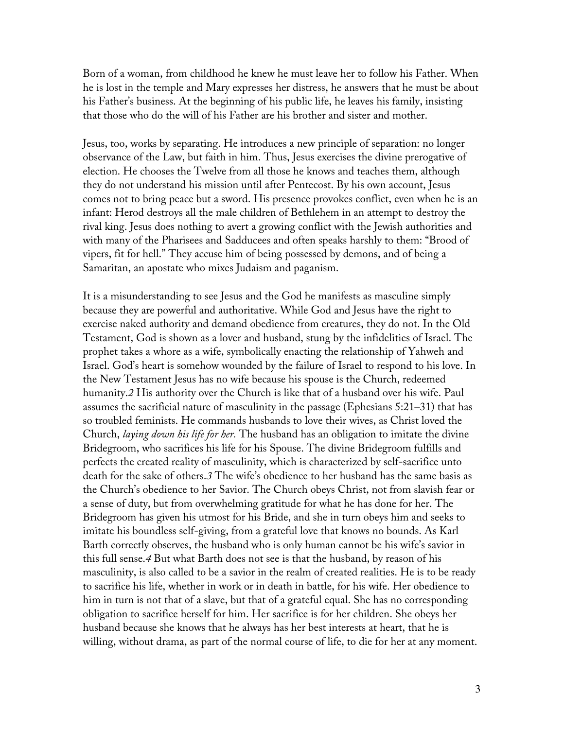Born of a woman, from childhood he knew he must leave her to follow his Father. When he is lost in the temple and Mary expresses her distress, he answers that he must be about his Father's business. At the beginning of his public life, he leaves his family, insisting that those who do the will of his Father are his brother and sister and mother.

Jesus, too, works by separating. He introduces a new principle of separation: no longer observance of the Law, but faith in him. Thus, Jesus exercises the divine prerogative of election. He chooses the Twelve from all those he knows and teaches them, although they do not understand his mission until after Pentecost. By his own account, Jesus comes not to bring peace but a sword. His presence provokes conflict, even when he is an infant: Herod destroys all the male children of Bethlehem in an attempt to destroy the rival king. Jesus does nothing to avert a growing conflict with the Jewish authorities and with many of the Pharisees and Sadducees and often speaks harshly to them: "Brood of vipers, fit for hell." They accuse him of being possessed by demons, and of being a Samaritan, an apostate who mixes Judaism and paganism.

It is a misunderstanding to see Jesus and the God he manifests as masculine simply because they are powerful and authoritative. While God and Jesus have the right to exercise naked authority and demand obedience from creatures, they do not. In the Old Testament, God is shown as a lover and husband, stung by the infidelities of Israel. The prophet takes a whore as a wife, symbolically enacting the relationship of Yahweh and Israel. God's heart is somehow wounded by the failure of Israel to respond to his love. In the New Testament Jesus has no wife because his spouse is the Church, redeemed humanity.*2* His authority over the Church is like that of a husband over his wife. Paul assumes the sacrificial nature of masculinity in the passage (Ephesians 5:21–31) that has so troubled feminists. He commands husbands to love their wives, as Christ loved the Church, *laying down his life for her.* The husband has an obligation to imitate the divine Bridegroom, who sacrifices his life for his Spouse. The divine Bridegroom fulfills and perfects the created reality of masculinity, which is characterized by self-sacrifice unto death for the sake of others.*3* The wife's obedience to her husband has the same basis as the Church's obedience to her Savior. The Church obeys Christ, not from slavish fear or a sense of duty, but from overwhelming gratitude for what he has done for her. The Bridegroom has given his utmost for his Bride, and she in turn obeys him and seeks to imitate his boundless self-giving, from a grateful love that knows no bounds. As Karl Barth correctly observes, the husband who is only human cannot be his wife's savior in this full sense.*4* But what Barth does not see is that the husband, by reason of his masculinity, is also called to be a savior in the realm of created realities. He is to be ready to sacrifice his life, whether in work or in death in battle, for his wife. Her obedience to him in turn is not that of a slave, but that of a grateful equal. She has no corresponding obligation to sacrifice herself for him. Her sacrifice is for her children. She obeys her husband because she knows that he always has her best interests at heart, that he is willing, without drama, as part of the normal course of life, to die for her at any moment.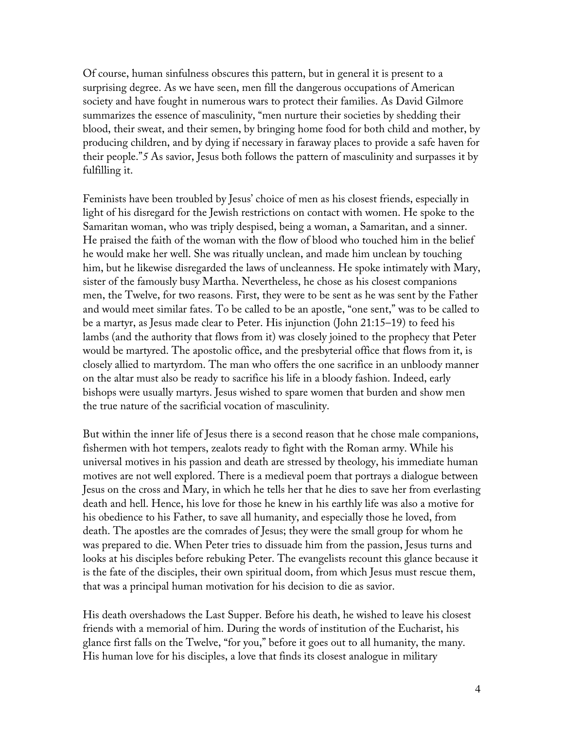Of course, human sinfulness obscures this pattern, but in general it is present to a surprising degree. As we have seen, men fill the dangerous occupations of American society and have fought in numerous wars to protect their families. As David Gilmore summarizes the essence of masculinity, "men nurture their societies by shedding their blood, their sweat, and their semen, by bringing home food for both child and mother, by producing children, and by dying if necessary in faraway places to provide a safe haven for their people."*5* As savior, Jesus both follows the pattern of masculinity and surpasses it by fulfilling it.

Feminists have been troubled by Jesus' choice of men as his closest friends, especially in light of his disregard for the Jewish restrictions on contact with women. He spoke to the Samaritan woman, who was triply despised, being a woman, a Samaritan, and a sinner. He praised the faith of the woman with the flow of blood who touched him in the belief he would make her well. She was ritually unclean, and made him unclean by touching him, but he likewise disregarded the laws of uncleanness. He spoke intimately with Mary, sister of the famously busy Martha. Nevertheless, he chose as his closest companions men, the Twelve, for two reasons. First, they were to be sent as he was sent by the Father and would meet similar fates. To be called to be an apostle, "one sent," was to be called to be a martyr, as Jesus made clear to Peter. His injunction (John 21:15–19) to feed his lambs (and the authority that flows from it) was closely joined to the prophecy that Peter would be martyred. The apostolic office, and the presbyterial office that flows from it, is closely allied to martyrdom. The man who offers the one sacrifice in an unbloody manner on the altar must also be ready to sacrifice his life in a bloody fashion. Indeed, early bishops were usually martyrs. Jesus wished to spare women that burden and show men the true nature of the sacrificial vocation of masculinity.

But within the inner life of Jesus there is a second reason that he chose male companions, fishermen with hot tempers, zealots ready to fight with the Roman army. While his universal motives in his passion and death are stressed by theology, his immediate human motives are not well explored. There is a medieval poem that portrays a dialogue between Jesus on the cross and Mary, in which he tells her that he dies to save her from everlasting death and hell. Hence, his love for those he knew in his earthly life was also a motive for his obedience to his Father, to save all humanity, and especially those he loved, from death. The apostles are the comrades of Jesus; they were the small group for whom he was prepared to die. When Peter tries to dissuade him from the passion, Jesus turns and looks at his disciples before rebuking Peter. The evangelists recount this glance because it is the fate of the disciples, their own spiritual doom, from which Jesus must rescue them, that was a principal human motivation for his decision to die as savior.

His death overshadows the Last Supper. Before his death, he wished to leave his closest friends with a memorial of him. During the words of institution of the Eucharist, his glance first falls on the Twelve, "for you," before it goes out to all humanity, the many. His human love for his disciples, a love that finds its closest analogue in military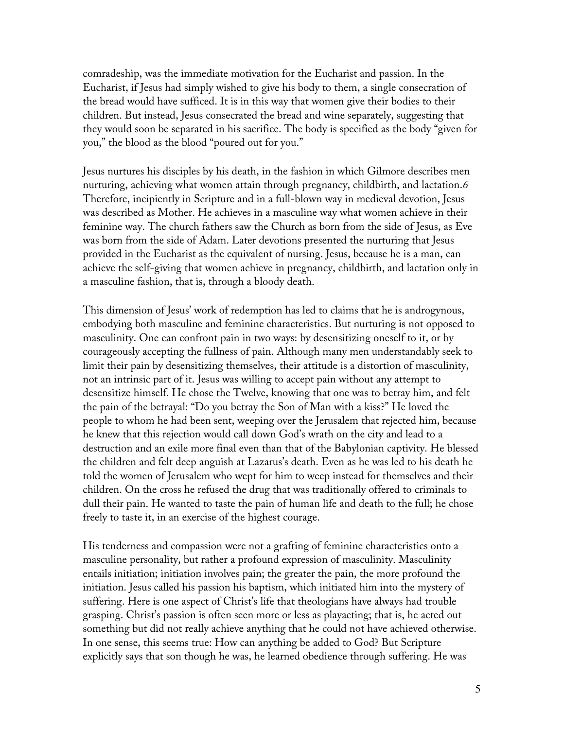comradeship, was the immediate motivation for the Eucharist and passion. In the Eucharist, if Jesus had simply wished to give his body to them, a single consecration of the bread would have sufficed. It is in this way that women give their bodies to their children. But instead, Jesus consecrated the bread and wine separately, suggesting that they would soon be separated in his sacrifice. The body is specified as the body "given for you," the blood as the blood "poured out for you."

Jesus nurtures his disciples by his death, in the fashion in which Gilmore describes men nurturing, achieving what women attain through pregnancy, childbirth, and lactation.*6* Therefore, incipiently in Scripture and in a full-blown way in medieval devotion, Jesus was described as Mother. He achieves in a masculine way what women achieve in their feminine way. The church fathers saw the Church as born from the side of Jesus, as Eve was born from the side of Adam. Later devotions presented the nurturing that Jesus provided in the Eucharist as the equivalent of nursing. Jesus, because he is a man, can achieve the self-giving that women achieve in pregnancy, childbirth, and lactation only in a masculine fashion, that is, through a bloody death.

This dimension of Jesus' work of redemption has led to claims that he is androgynous, embodying both masculine and feminine characteristics. But nurturing is not opposed to masculinity. One can confront pain in two ways: by desensitizing oneself to it, or by courageously accepting the fullness of pain. Although many men understandably seek to limit their pain by desensitizing themselves, their attitude is a distortion of masculinity, not an intrinsic part of it. Jesus was willing to accept pain without any attempt to desensitize himself. He chose the Twelve, knowing that one was to betray him, and felt the pain of the betrayal: "Do you betray the Son of Man with a kiss?" He loved the people to whom he had been sent, weeping over the Jerusalem that rejected him, because he knew that this rejection would call down God's wrath on the city and lead to a destruction and an exile more final even than that of the Babylonian captivity. He blessed the children and felt deep anguish at Lazarus's death. Even as he was led to his death he told the women of Jerusalem who wept for him to weep instead for themselves and their children. On the cross he refused the drug that was traditionally offered to criminals to dull their pain. He wanted to taste the pain of human life and death to the full; he chose freely to taste it, in an exercise of the highest courage.

His tenderness and compassion were not a grafting of feminine characteristics onto a masculine personality, but rather a profound expression of masculinity. Masculinity entails initiation; initiation involves pain; the greater the pain, the more profound the initiation. Jesus called his passion his baptism, which initiated him into the mystery of suffering. Here is one aspect of Christ's life that theologians have always had trouble grasping. Christ's passion is often seen more or less as playacting; that is, he acted out something but did not really achieve anything that he could not have achieved otherwise. In one sense, this seems true: How can anything be added to God? But Scripture explicitly says that son though he was, he learned obedience through suffering. He was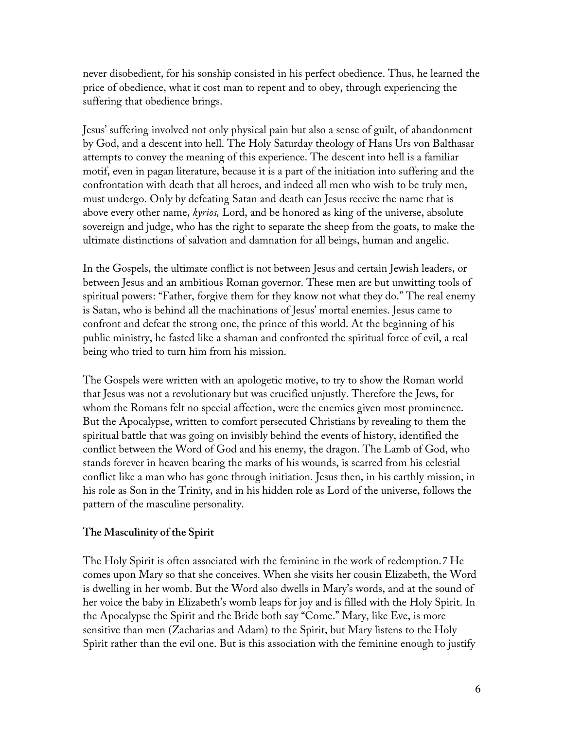never disobedient, for his sonship consisted in his perfect obedience. Thus, he learned the price of obedience, what it cost man to repent and to obey, through experiencing the suffering that obedience brings.

Jesus' suffering involved not only physical pain but also a sense of guilt, of abandonment by God, and a descent into hell. The Holy Saturday theology of Hans Urs von Balthasar attempts to convey the meaning of this experience. The descent into hell is a familiar motif, even in pagan literature, because it is a part of the initiation into suffering and the confrontation with death that all heroes, and indeed all men who wish to be truly men, must undergo. Only by defeating Satan and death can Jesus receive the name that is above every other name, *kyrios,* Lord, and be honored as king of the universe, absolute sovereign and judge, who has the right to separate the sheep from the goats, to make the ultimate distinctions of salvation and damnation for all beings, human and angelic.

In the Gospels, the ultimate conflict is not between Jesus and certain Jewish leaders, or between Jesus and an ambitious Roman governor. These men are but unwitting tools of spiritual powers: "Father, forgive them for they know not what they do." The real enemy is Satan, who is behind all the machinations of Jesus' mortal enemies. Jesus came to confront and defeat the strong one, the prince of this world. At the beginning of his public ministry, he fasted like a shaman and confronted the spiritual force of evil, a real being who tried to turn him from his mission.

The Gospels were written with an apologetic motive, to try to show the Roman world that Jesus was not a revolutionary but was crucified unjustly. Therefore the Jews, for whom the Romans felt no special affection, were the enemies given most prominence. But the Apocalypse, written to comfort persecuted Christians by revealing to them the spiritual battle that was going on invisibly behind the events of history, identified the conflict between the Word of God and his enemy, the dragon. The Lamb of God, who stands forever in heaven bearing the marks of his wounds, is scarred from his celestial conflict like a man who has gone through initiation. Jesus then, in his earthly mission, in his role as Son in the Trinity, and in his hidden role as Lord of the universe, follows the pattern of the masculine personality.

#### **The Masculinity of the Spirit**

The Holy Spirit is often associated with the feminine in the work of redemption.*7* He comes upon Mary so that she conceives. When she visits her cousin Elizabeth, the Word is dwelling in her womb. But the Word also dwells in Mary's words, and at the sound of her voice the baby in Elizabeth's womb leaps for joy and is filled with the Holy Spirit. In the Apocalypse the Spirit and the Bride both say "Come." Mary, like Eve, is more sensitive than men (Zacharias and Adam) to the Spirit, but Mary listens to the Holy Spirit rather than the evil one. But is this association with the feminine enough to justify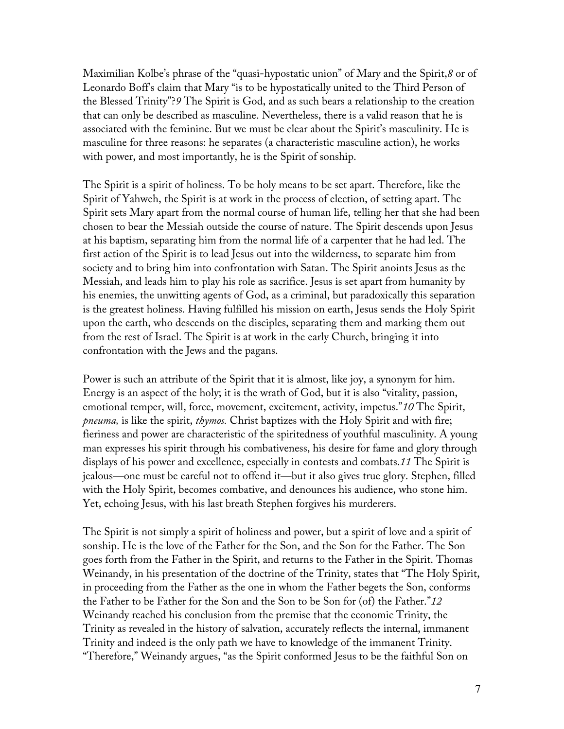Maximilian Kolbe's phrase of the "quasi-hypostatic union" of Mary and the Spirit,*8* or of Leonardo Boff's claim that Mary "is to be hypostatically united to the Third Person of the Blessed Trinity"?*9* The Spirit is God, and as such bears a relationship to the creation that can only be described as masculine. Nevertheless, there is a valid reason that he is associated with the feminine. But we must be clear about the Spirit's masculinity. He is masculine for three reasons: he separates (a characteristic masculine action), he works with power, and most importantly, he is the Spirit of sonship.

The Spirit is a spirit of holiness. To be holy means to be set apart. Therefore, like the Spirit of Yahweh, the Spirit is at work in the process of election, of setting apart. The Spirit sets Mary apart from the normal course of human life, telling her that she had been chosen to bear the Messiah outside the course of nature. The Spirit descends upon Jesus at his baptism, separating him from the normal life of a carpenter that he had led. The first action of the Spirit is to lead Jesus out into the wilderness, to separate him from society and to bring him into confrontation with Satan. The Spirit anoints Jesus as the Messiah, and leads him to play his role as sacrifice. Jesus is set apart from humanity by his enemies, the unwitting agents of God, as a criminal, but paradoxically this separation is the greatest holiness. Having fulfilled his mission on earth, Jesus sends the Holy Spirit upon the earth, who descends on the disciples, separating them and marking them out from the rest of Israel. The Spirit is at work in the early Church, bringing it into confrontation with the Jews and the pagans.

Power is such an attribute of the Spirit that it is almost, like joy, a synonym for him. Energy is an aspect of the holy; it is the wrath of God, but it is also "vitality, passion, emotional temper, will, force, movement, excitement, activity, impetus."*10* The Spirit, *pneuma,* is like the spirit, *thymos.* Christ baptizes with the Holy Spirit and with fire; fieriness and power are characteristic of the spiritedness of youthful masculinity. A young man expresses his spirit through his combativeness, his desire for fame and glory through displays of his power and excellence, especially in contests and combats.*11* The Spirit is jealous—one must be careful not to offend it—but it also gives true glory. Stephen, filled with the Holy Spirit, becomes combative, and denounces his audience, who stone him. Yet, echoing Jesus, with his last breath Stephen forgives his murderers.

The Spirit is not simply a spirit of holiness and power, but a spirit of love and a spirit of sonship. He is the love of the Father for the Son, and the Son for the Father. The Son goes forth from the Father in the Spirit, and returns to the Father in the Spirit. Thomas Weinandy, in his presentation of the doctrine of the Trinity, states that "The Holy Spirit, in proceeding from the Father as the one in whom the Father begets the Son, conforms the Father to be Father for the Son and the Son to be Son for (of) the Father."*12* Weinandy reached his conclusion from the premise that the economic Trinity, the Trinity as revealed in the history of salvation, accurately reflects the internal, immanent Trinity and indeed is the only path we have to knowledge of the immanent Trinity. "Therefore," Weinandy argues, "as the Spirit conformed Jesus to be the faithful Son on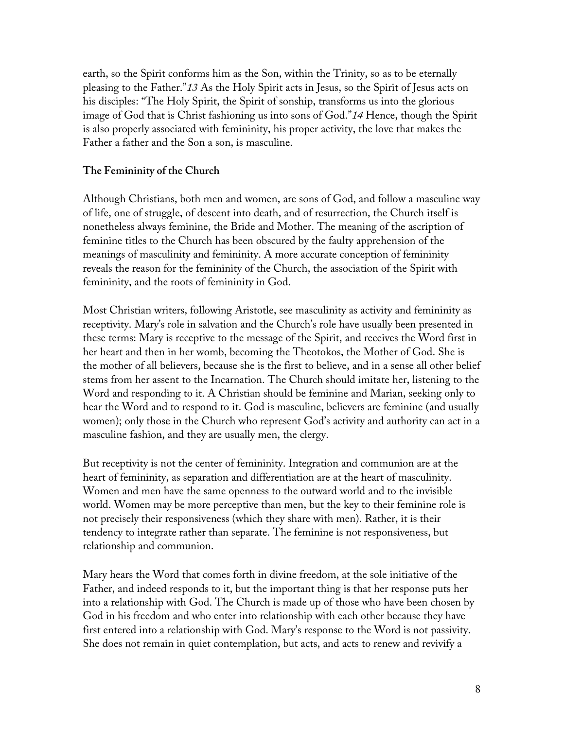earth, so the Spirit conforms him as the Son, within the Trinity, so as to be eternally pleasing to the Father."*13* As the Holy Spirit acts in Jesus, so the Spirit of Jesus acts on his disciples: "The Holy Spirit, the Spirit of sonship, transforms us into the glorious image of God that is Christ fashioning us into sons of God."*14* Hence, though the Spirit is also properly associated with femininity, his proper activity, the love that makes the Father a father and the Son a son, is masculine.

### **The Femininity of the Church**

Although Christians, both men and women, are sons of God, and follow a masculine way of life, one of struggle, of descent into death, and of resurrection, the Church itself is nonetheless always feminine, the Bride and Mother. The meaning of the ascription of feminine titles to the Church has been obscured by the faulty apprehension of the meanings of masculinity and femininity. A more accurate conception of femininity reveals the reason for the femininity of the Church, the association of the Spirit with femininity, and the roots of femininity in God.

Most Christian writers, following Aristotle, see masculinity as activity and femininity as receptivity. Mary's role in salvation and the Church's role have usually been presented in these terms: Mary is receptive to the message of the Spirit, and receives the Word first in her heart and then in her womb, becoming the Theotokos, the Mother of God. She is the mother of all believers, because she is the first to believe, and in a sense all other belief stems from her assent to the Incarnation. The Church should imitate her, listening to the Word and responding to it. A Christian should be feminine and Marian, seeking only to hear the Word and to respond to it. God is masculine, believers are feminine (and usually women); only those in the Church who represent God's activity and authority can act in a masculine fashion, and they are usually men, the clergy.

But receptivity is not the center of femininity. Integration and communion are at the heart of femininity, as separation and differentiation are at the heart of masculinity. Women and men have the same openness to the outward world and to the invisible world. Women may be more perceptive than men, but the key to their feminine role is not precisely their responsiveness (which they share with men). Rather, it is their tendency to integrate rather than separate. The feminine is not responsiveness, but relationship and communion.

Mary hears the Word that comes forth in divine freedom, at the sole initiative of the Father, and indeed responds to it, but the important thing is that her response puts her into a relationship with God. The Church is made up of those who have been chosen by God in his freedom and who enter into relationship with each other because they have first entered into a relationship with God. Mary's response to the Word is not passivity. She does not remain in quiet contemplation, but acts, and acts to renew and revivify a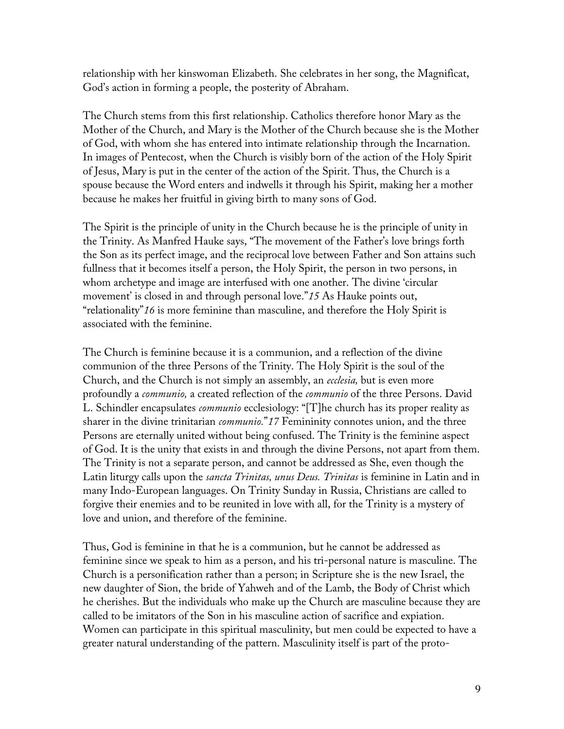relationship with her kinswoman Elizabeth. She celebrates in her song, the Magnificat, God's action in forming a people, the posterity of Abraham.

The Church stems from this first relationship. Catholics therefore honor Mary as the Mother of the Church, and Mary is the Mother of the Church because she is the Mother of God, with whom she has entered into intimate relationship through the Incarnation. In images of Pentecost, when the Church is visibly born of the action of the Holy Spirit of Jesus, Mary is put in the center of the action of the Spirit. Thus, the Church is a spouse because the Word enters and indwells it through his Spirit, making her a mother because he makes her fruitful in giving birth to many sons of God.

The Spirit is the principle of unity in the Church because he is the principle of unity in the Trinity. As Manfred Hauke says, "The movement of the Father's love brings forth the Son as its perfect image, and the reciprocal love between Father and Son attains such fullness that it becomes itself a person, the Holy Spirit, the person in two persons, in whom archetype and image are interfused with one another. The divine 'circular movement' is closed in and through personal love."*15* As Hauke points out, "relationality"*16* is more feminine than masculine, and therefore the Holy Spirit is associated with the feminine.

The Church is feminine because it is a communion, and a reflection of the divine communion of the three Persons of the Trinity. The Holy Spirit is the soul of the Church, and the Church is not simply an assembly, an *ecclesia,* but is even more profoundly a *communio,* a created reflection of the *communio* of the three Persons. David L. Schindler encapsulates *communio* ecclesiology: "[T]he church has its proper reality as sharer in the divine trinitarian *communio.*"*17* Femininity connotes union, and the three Persons are eternally united without being confused. The Trinity is the feminine aspect of God. It is the unity that exists in and through the divine Persons, not apart from them. The Trinity is not a separate person, and cannot be addressed as She, even though the Latin liturgy calls upon the *sancta Trinitas, unus Deus. Trinitas* is feminine in Latin and in many Indo-European languages. On Trinity Sunday in Russia, Christians are called to forgive their enemies and to be reunited in love with all, for the Trinity is a mystery of love and union, and therefore of the feminine.

Thus, God is feminine in that he is a communion, but he cannot be addressed as feminine since we speak to him as a person, and his tri-personal nature is masculine. The Church is a personification rather than a person; in Scripture she is the new Israel, the new daughter of Sion, the bride of Yahweh and of the Lamb, the Body of Christ which he cherishes. But the individuals who make up the Church are masculine because they are called to be imitators of the Son in his masculine action of sacrifice and expiation. Women can participate in this spiritual masculinity, but men could be expected to have a greater natural understanding of the pattern. Masculinity itself is part of the proto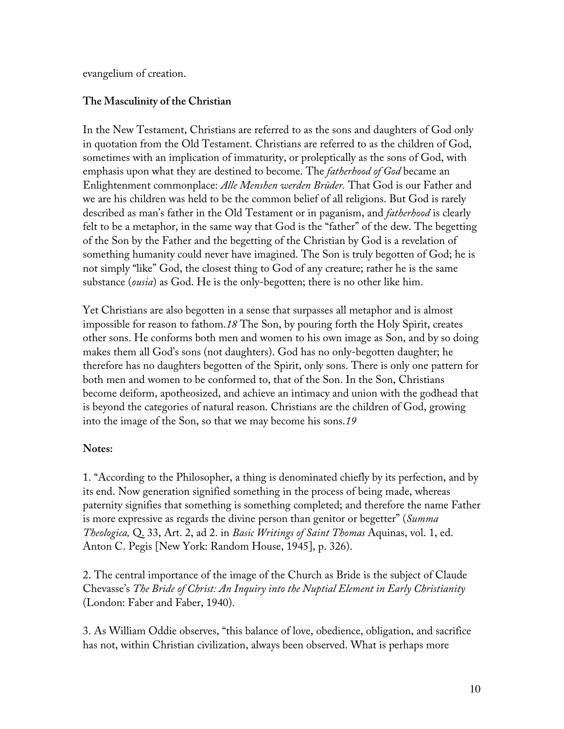evangelium of creation.

## **The Masculinity of the Christian**

In the New Testament, Christians are referred to as the sons and daughters of God only in quotation from the Old Testament. Christians are referred to as the children of God, sometimes with an implication of immaturity, or proleptically as the sons of God, with emphasis upon what they are destined to become. The *fatherhood of God* became an Enlightenment commonplace: *Alle Menshen werden Brüder.* That God is our Father and we are his children was held to be the common belief of all religions. But God is rarely described as man's father in the Old Testament or in paganism, and *fatherhood* is clearly felt to be a metaphor, in the same way that God is the "father" of the dew. The begetting of the Son by the Father and the begetting of the Christian by God is a revelation of something humanity could never have imagined. The Son is truly begotten of God; he is not simply "like" God, the closest thing to God of any creature; rather he is the same substance (*ousia*) as God. He is the only-begotten; there is no other like him.

Yet Christians are also begotten in a sense that surpasses all metaphor and is almost impossible for reason to fathom.*18* The Son, by pouring forth the Holy Spirit, creates other sons. He conforms both men and women to his own image as Son, and by so doing makes them all God's sons (not daughters). God has no only-begotten daughter; he therefore has no daughters begotten of the Spirit, only sons. There is only one pattern for both men and women to be conformed to, that of the Son. In the Son, Christians become deiform, apotheosized, and achieve an intimacy and union with the godhead that is beyond the categories of natural reason. Christians are the children of God, growing into the image of the Son, so that we may become his sons.*19*

#### **Notes:**

1. "According to the Philosopher, a thing is denominated chiefly by its perfection, and by its end. Now generation signified something in the process of being made, whereas paternity signifies that something is something completed; and therefore the name Father is more expressive as regards the divine person than genitor or begetter" (*Summa Theologica,* Q. 33, Art. 2, ad 2. in *Basic Writings of Saint Thomas* Aquinas, vol. 1, ed. Anton C. Pegis [New York: Random House, 1945], p. 326).

2. The central importance of the image of the Church as Bride is the subject of Claude Chevasse's *The Bride of Christ: An Inquiry into the Nuptial Element in Early Christianity* (London: Faber and Faber, 1940).

3. As William Oddie observes, "this balance of love, obedience, obligation, and sacrifice has not, within Christian civilization, always been observed. What is perhaps more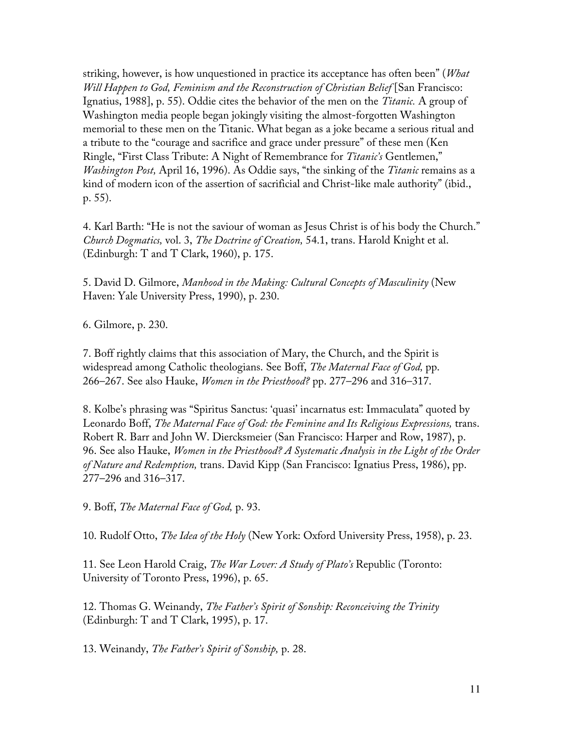striking, however, is how unquestioned in practice its acceptance has often been" (*What Will Happen to God, Feminism and the Reconstruction of Christian Belief* [San Francisco: Ignatius, 1988], p. 55). Oddie cites the behavior of the men on the *Titanic.* A group of Washington media people began jokingly visiting the almost-forgotten Washington memorial to these men on the Titanic. What began as a joke became a serious ritual and a tribute to the "courage and sacrifice and grace under pressure" of these men (Ken Ringle, "First Class Tribute: A Night of Remembrance for *Titanic's* Gentlemen," *Washington Post,* April 16, 1996). As Oddie says, "the sinking of the *Titanic* remains as a kind of modern icon of the assertion of sacrificial and Christ-like male authority" (ibid., p. 55).

4. Karl Barth: "He is not the saviour of woman as Jesus Christ is of his body the Church." *Church Dogmatics,* vol. 3, *The Doctrine of Creation,* 54.1, trans. Harold Knight et al. (Edinburgh: T and T Clark, 1960), p. 175.

5. David D. Gilmore, *Manhood in the Making: Cultural Concepts of Masculinity* (New Haven: Yale University Press, 1990), p. 230.

6. Gilmore, p. 230.

7. Boff rightly claims that this association of Mary, the Church, and the Spirit is widespread among Catholic theologians. See Boff, *The Maternal Face of God,* pp. 266–267. See also Hauke, *Women in the Priesthood?* pp. 277–296 and 316–317.

8. Kolbe's phrasing was "Spiritus Sanctus: 'quasi' incarnatus est: Immaculata" quoted by Leonardo Boff, *The Maternal Face of God: the Feminine and Its Religious Expressions,* trans. Robert R. Barr and John W. Diercksmeier (San Francisco: Harper and Row, 1987), p. 96. See also Hauke, *Women in the Priesthood? A Systematic Analysis in the Light of the Order of Nature and Redemption,* trans. David Kipp (San Francisco: Ignatius Press, 1986), pp. 277–296 and 316–317.

9. Boff, *The Maternal Face of God,* p. 93.

10. Rudolf Otto, *The Idea of the Holy* (New York: Oxford University Press, 1958), p. 23.

11. See Leon Harold Craig, *The War Lover: A Study of Plato's* Republic (Toronto: University of Toronto Press, 1996), p. 65.

12. Thomas G. Weinandy, *The Father's Spirit of Sonship: Reconceiving the Trinity* (Edinburgh: T and T Clark, 1995), p. 17.

13. Weinandy, *The Father's Spirit of Sonship,* p. 28.